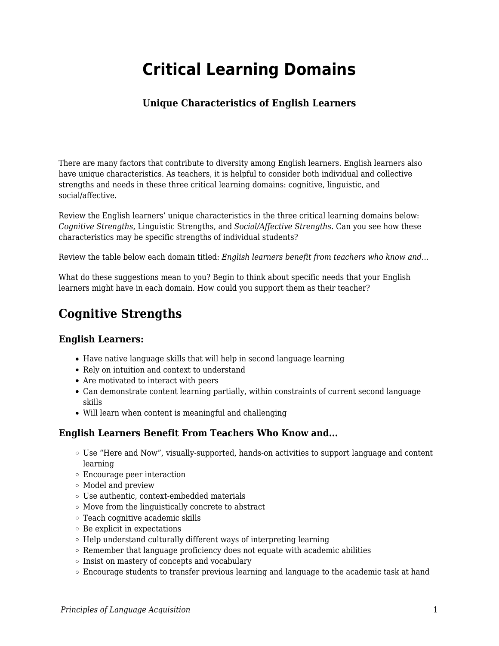# **Critical Learning Domains**

### **Unique Characteristics of English Learners**

There are many factors that contribute to diversity among English learners. English learners also have unique characteristics. As teachers, it is helpful to consider both individual and collective strengths and needs in these three critical learning domains: cognitive, linguistic, and social/affective.

Review the English learners' unique characteristics in the three critical learning domains below: *Cognitive Strengths*, Linguistic Strengths, and *Social/Affective Strengths*. Can you see how these characteristics may be specific strengths of individual students?

Review the table below each domain titled: *English learners benefit from teachers who know and...*

What do these suggestions mean to you? Begin to think about specific needs that your English learners might have in each domain. How could you support them as their teacher?

### **Cognitive Strengths**

#### **English Learners:**

- Have native language skills that will help in second language learning
- Rely on intuition and context to understand
- Are motivated to interact with peers
- Can demonstrate content learning partially, within constraints of current second language skills
- Will learn when content is meaningful and challenging

#### **English Learners Benefit From Teachers Who Know and...**

- Use "Here and Now", visually-supported, hands-on activities to support language and content learning
- Encourage peer interaction
- Model and preview
- Use authentic, context-embedded materials
- $\circ$  Move from the linguistically concrete to abstract
- Teach cognitive academic skills
- $\circ$  Be explicit in expectations
- $\circ$  Help understand culturally different ways of interpreting learning
- Remember that language proficiency does not equate with academic abilities
- o Insist on mastery of concepts and vocabulary
- Encourage students to transfer previous learning and language to the academic task at hand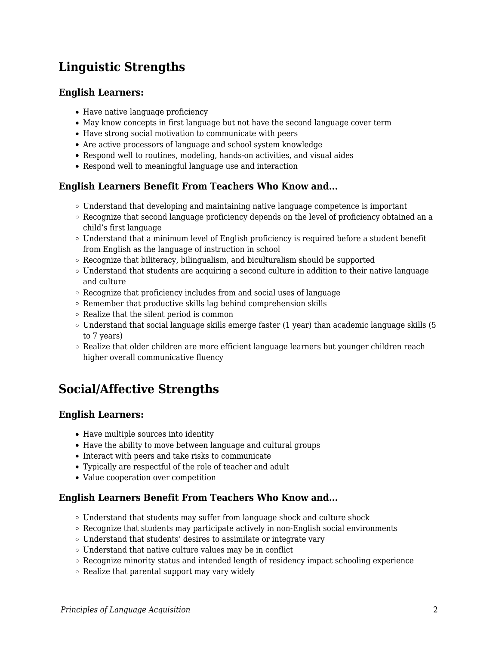## **Linguistic Strengths**

#### **English Learners:**

- Have native language proficiency
- May know concepts in first language but not have the second language cover term
- Have strong social motivation to communicate with peers
- Are active processors of language and school system knowledge
- Respond well to routines, modeling, hands-on activities, and visual aides
- Respond well to meaningful language use and interaction

#### **English Learners Benefit From Teachers Who Know and...**

- $\circ$  Understand that developing and maintaining native language competence is important
- Recognize that second language proficiency depends on the level of proficiency obtained an a child's first language
- Understand that a minimum level of English proficiency is required before a student benefit from English as the language of instruction in school
- $\circ$  Recognize that biliteracy, bilingualism, and biculturalism should be supported
- $\circ$  Understand that students are acquiring a second culture in addition to their native language and culture
- Recognize that proficiency includes from and social uses of language
- Remember that productive skills lag behind comprehension skills
- $\circ$  Realize that the silent period is common
- $\circ$  Understand that social language skills emerge faster (1 year) than academic language skills (5 to 7 years)
- $\circ$  Realize that older children are more efficient language learners but younger children reach higher overall communicative fluency

### **Social/Affective Strengths**

#### **English Learners:**

- Have multiple sources into identity
- Have the ability to move between language and cultural groups
- Interact with peers and take risks to communicate
- Typically are respectful of the role of teacher and adult
- Value cooperation over competition

#### **English Learners Benefit From Teachers Who Know and...**

- Understand that students may suffer from language shock and culture shock
- $\circ$  Recognize that students may participate actively in non-English social environments
- Understand that students' desires to assimilate or integrate vary
- $\circ$  Understand that native culture values may be in conflict
- Recognize minority status and intended length of residency impact schooling experience
- $\circ$  Realize that parental support may vary widely